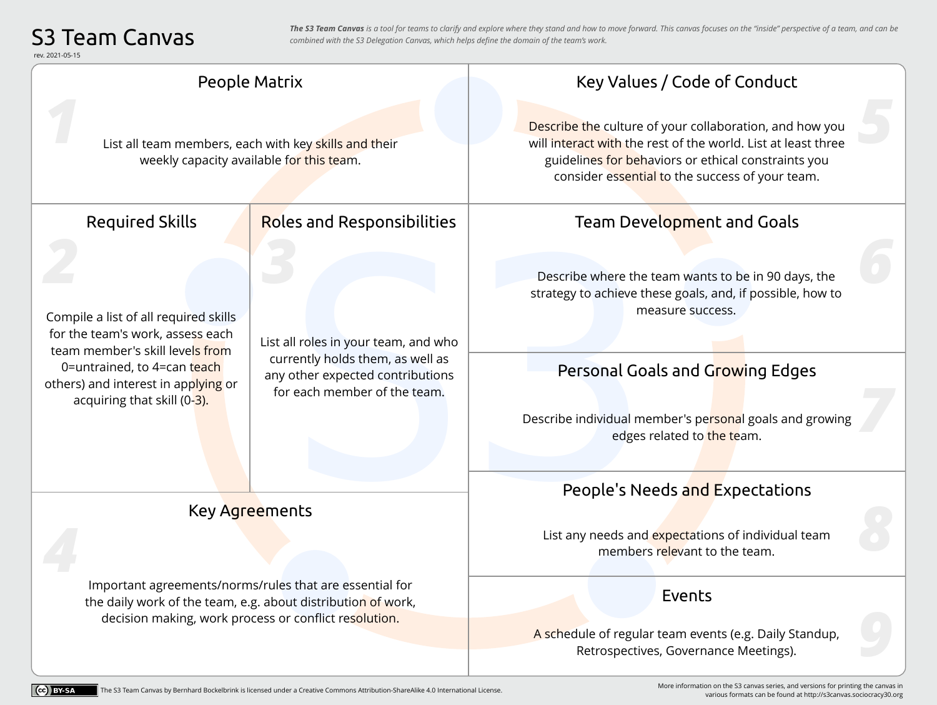## S3 Team Canvas

*The S3 Team Canvas is a tool for teams to clarify and explore where they stand and how to move forward. This canvas focuses on the "inside" perspective of a team, and can be combined with the S3 Delegation Canvas, which helps define the domain of the team's work.*

[rev. 2021-05-15](https://creativecommons.org/licenses/by-sa/4.0/)

| ev. 2021-05-15                                                                                                                                                                                                    |                                                                                                                                              |                                                                                                                                                                                                                                                                   |
|-------------------------------------------------------------------------------------------------------------------------------------------------------------------------------------------------------------------|----------------------------------------------------------------------------------------------------------------------------------------------|-------------------------------------------------------------------------------------------------------------------------------------------------------------------------------------------------------------------------------------------------------------------|
| People Matrix                                                                                                                                                                                                     |                                                                                                                                              | Key Values / Code of Conduct                                                                                                                                                                                                                                      |
| List all team members, each with key skills and their<br>weekly capacity available for this team.                                                                                                                 |                                                                                                                                              | Describe the culture of your collaboration, and how you<br>will interact with the rest of the world. List at least three<br>guidelines for behaviors or ethical constraints you<br>consider essential to the success of your team.                                |
| <b>Required Skills</b>                                                                                                                                                                                            | <b>Roles and Responsibilities</b>                                                                                                            | Team Development and Goals                                                                                                                                                                                                                                        |
| Compile a list of all required skills<br>for the team's work, assess each<br>team member's skill levels from<br>0=untrained, to 4=can teach<br>others) and interest in applying or<br>acquiring that skill (0-3). | List all roles in your team, and who<br>currently holds them, as well as<br>any other expected contributions<br>for each member of the team. | Describe where the team wants to be in 90 days, the<br>strategy to achieve these goals, and, if possible, how to<br>measure success.<br>Personal Goals and Growing Edges<br>Describe individual member's personal goals and growing<br>edges related to the team. |
|                                                                                                                                                                                                                   |                                                                                                                                              | People's Needs and Expectations                                                                                                                                                                                                                                   |
| Key Agreements                                                                                                                                                                                                    |                                                                                                                                              | List any needs and expectations of individual team<br>members relevant to the team.                                                                                                                                                                               |
| Important agreements/norms/rules that are essential for<br>the daily work of the team, e.g. about distribution of work,<br>decision making, work process or conflict resolution.                                  |                                                                                                                                              | Events<br>A schedule of regular team events (e.g. Daily Standup,<br>Retrospectives, Governance Meetings).                                                                                                                                                         |

[More information on the S3 canvas series, and versions for printing the canvas in](http://s3canvas.sociocracy30.org)  various formats can be found at http://s3canvas.sociocracy30.org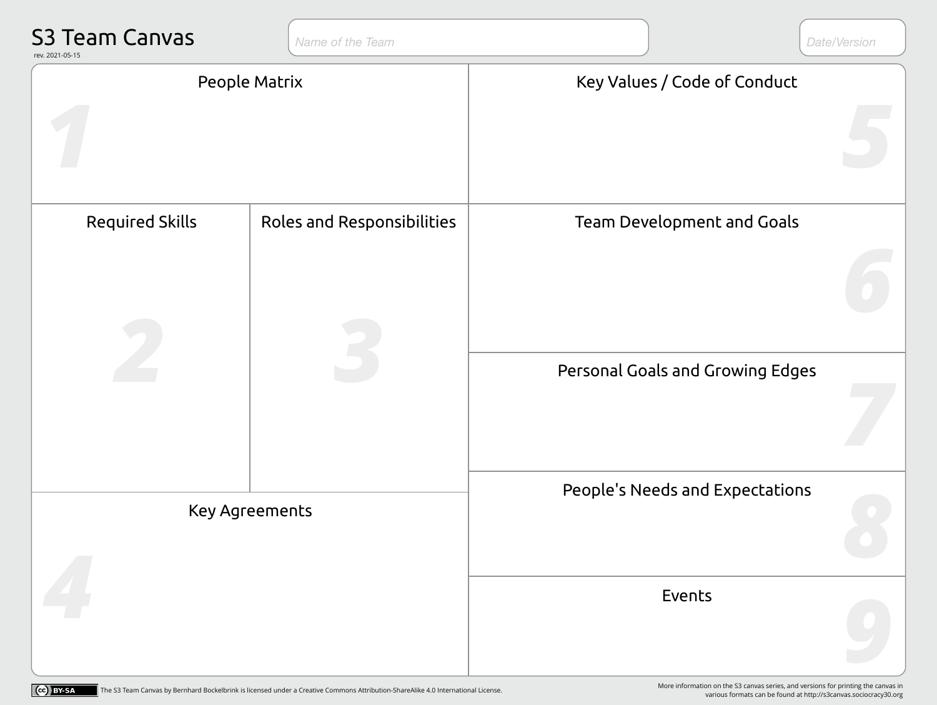| <b>S3 Team Canvas</b><br>rev. 2021-05-15 | Name of the Team           |                                   | Date/Version |
|------------------------------------------|----------------------------|-----------------------------------|--------------|
| People Matrix                            |                            | Key Values / Code of Conduct      |              |
| <b>Required Skills</b>                   | Roles and Responsibilities | <b>Team Development and Goals</b> |              |
|                                          |                            | Personal Goals and Growing Edges  |              |
| <b>Key Agreements</b>                    |                            | People's Needs and Expectations   |              |
|                                          |                            | Events                            |              |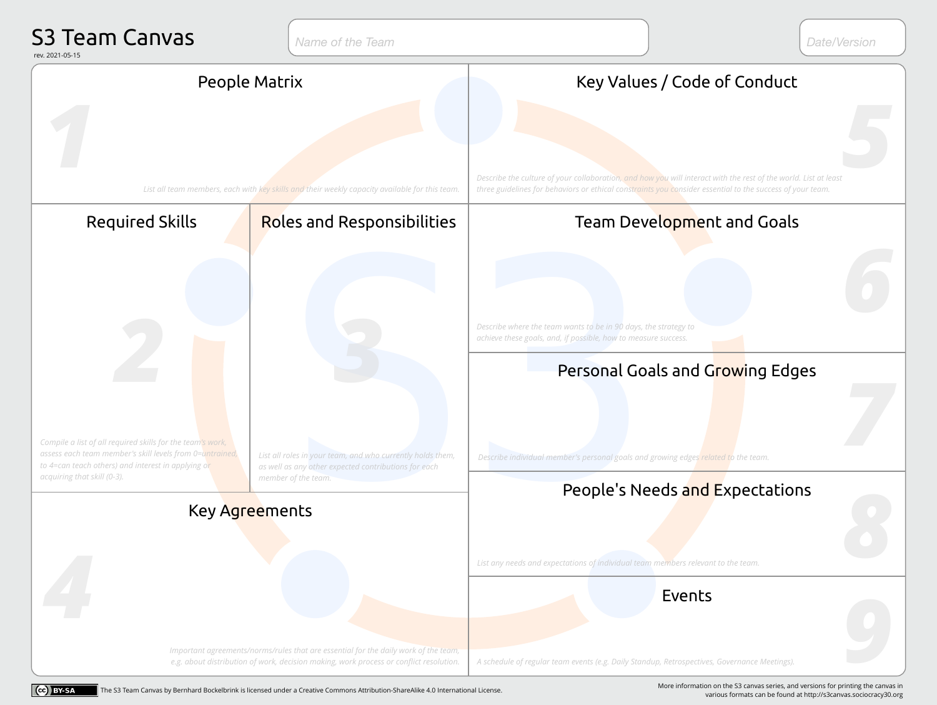| <b>S3 Team Canvas</b><br>rev. 2021-05-15                                                                                                                                      | Name of the Team                                                                                                                          | Date/Version                                                                                                                                                          |
|-------------------------------------------------------------------------------------------------------------------------------------------------------------------------------|-------------------------------------------------------------------------------------------------------------------------------------------|-----------------------------------------------------------------------------------------------------------------------------------------------------------------------|
| People Matrix                                                                                                                                                                 |                                                                                                                                           | Key Values / Code of Conduct<br>Describe the culture of your collaboration, and how you will interact with the rest of the world. List at least                       |
| <b>Required Skills</b>                                                                                                                                                        | List all team members, each with key skills and their weekly capacity available for this team.<br><b>Roles and Responsibilities</b>       | three guidelines for behaviors or ethical constraints you consider essential to the success of your team.<br>Team Development and Goals                               |
| Compile a list of all required skills for the team's work,                                                                                                                    |                                                                                                                                           | Describe where the team wants to be in 90 days, the strategy to<br>achieve these goals, and, if possible, how to measure success.<br>Personal Goals and Growing Edges |
| assess each team member's skill levels from 0=untrained,<br>to 4=can teach others) and interest in applying or<br>acquiring that skill (0-3).<br>Key Agreements               | List all roles in your team, and who currently holds them,<br>as well as any other expected contributions for each<br>member of the team. | Describe individual member's personal goals and growing edges related to the team.<br>People's Needs and Expectations                                                 |
|                                                                                                                                                                               |                                                                                                                                           | List any needs and expectations of individual team members relevant to the team.<br>Events                                                                            |
| Important agreements/norms/rules that are essential for the daily work of the team,<br>e.g. about distribution of work, decision making, work process or conflict resolution. |                                                                                                                                           | A schedule of regular team events (e.g. Daily Standup, Retrospectives, Governance Meetings).                                                                          |